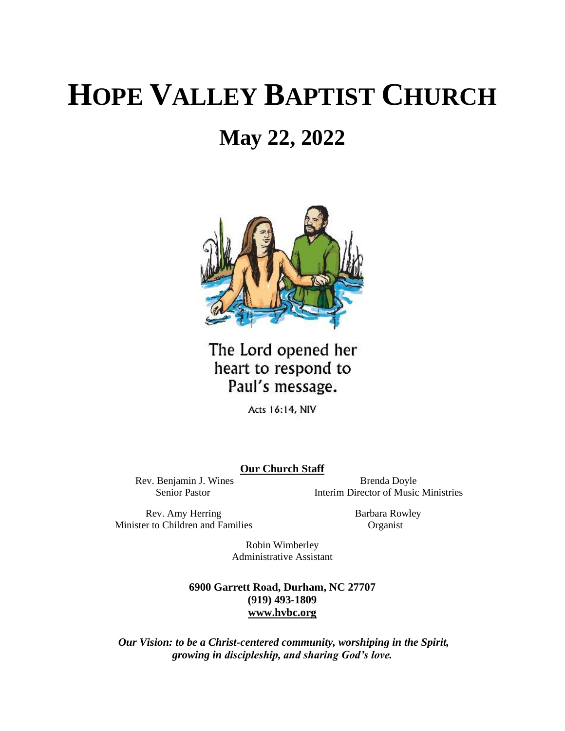# **HOPE VALLEY BAPTIST CHURCH**

# **May 22, 2022**



The Lord opened her heart to respond to Paul's message.

Acts 16:14, NIV

**Our Church Staff**

Rev. Benjamin J. Wines Brenda Doyle Senior Pastor **Interim Director of Music Ministries** 

Rev. Amy Herring Barbara Rowley Minister to Children and Families Organist

Robin Wimberley Administrative Assistant

**6900 Garrett Road, Durham, NC 27707 (919) 493-1809 [www.hvbc.org](https://nam02.safelinks.protection.outlook.com/?url=http%3A%2F%2Fwww.hvbc.org%2F&data=04%7C01%7Crobin%40hvbc.org%7Ca1947220efe048d45f2008d90f3f5013%7C19334143b857471a909f515a9e93cce3%7C0%7C0%7C637557586922368739%7CUnknown%7CTWFpbGZsb3d8eyJWIjoiMC4wLjAwMDAiLCJQIjoiV2luMzIiLCJBTiI6Ik1haWwiLCJXVCI6Mn0%3D%7C1000&sdata=vD8UY%2Ft%2Bw4fHfO%2FGyoDO3ShGm4jsX4L5zIVu36neNyk%3D&reserved=0)**

*Our Vision: to be a Christ-centered community, worshiping in the Spirit, growing in discipleship, and sharing God's love.*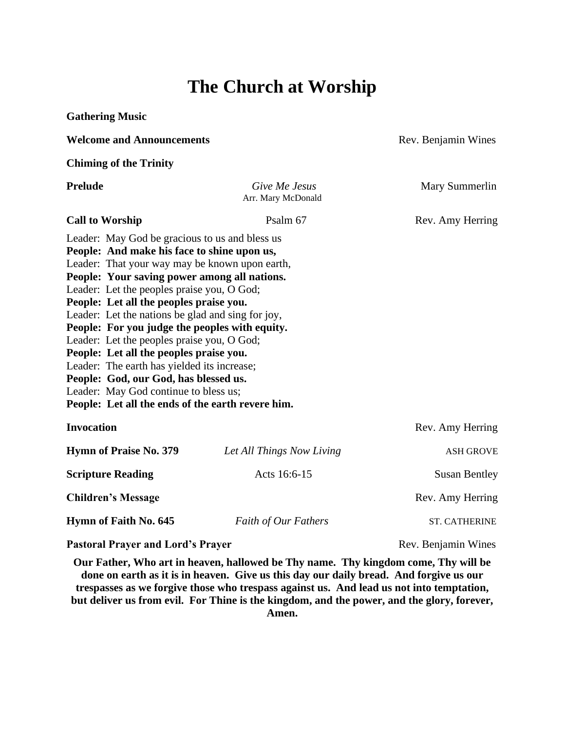## **The Church at Worship**

| <b>Gathering Music</b>                                                                                                                                                                                                                                                                                                                                                                                                                                                                                                                                                                                                                                                         |                                     |                      |
|--------------------------------------------------------------------------------------------------------------------------------------------------------------------------------------------------------------------------------------------------------------------------------------------------------------------------------------------------------------------------------------------------------------------------------------------------------------------------------------------------------------------------------------------------------------------------------------------------------------------------------------------------------------------------------|-------------------------------------|----------------------|
| <b>Welcome and Announcements</b>                                                                                                                                                                                                                                                                                                                                                                                                                                                                                                                                                                                                                                               |                                     | Rev. Benjamin Wines  |
| <b>Chiming of the Trinity</b>                                                                                                                                                                                                                                                                                                                                                                                                                                                                                                                                                                                                                                                  |                                     |                      |
| <b>Prelude</b>                                                                                                                                                                                                                                                                                                                                                                                                                                                                                                                                                                                                                                                                 | Give Me Jesus<br>Arr. Mary McDonald | Mary Summerlin       |
| <b>Call to Worship</b>                                                                                                                                                                                                                                                                                                                                                                                                                                                                                                                                                                                                                                                         | Psalm 67                            | Rev. Amy Herring     |
| Leader: May God be gracious to us and bless us<br>People: And make his face to shine upon us,<br>Leader: That your way may be known upon earth,<br>People: Your saving power among all nations.<br>Leader: Let the peoples praise you, O God;<br>People: Let all the peoples praise you.<br>Leader: Let the nations be glad and sing for joy,<br>People: For you judge the peoples with equity.<br>Leader: Let the peoples praise you, O God;<br>People: Let all the peoples praise you.<br>Leader: The earth has yielded its increase;<br>People: God, our God, has blessed us.<br>Leader: May God continue to bless us;<br>People: Let all the ends of the earth revere him. |                                     |                      |
| <b>Invocation</b>                                                                                                                                                                                                                                                                                                                                                                                                                                                                                                                                                                                                                                                              |                                     | Rev. Amy Herring     |
| <b>Hymn of Praise No. 379</b>                                                                                                                                                                                                                                                                                                                                                                                                                                                                                                                                                                                                                                                  | Let All Things Now Living           | <b>ASH GROVE</b>     |
| <b>Scripture Reading</b>                                                                                                                                                                                                                                                                                                                                                                                                                                                                                                                                                                                                                                                       | Acts 16:6-15                        | <b>Susan Bentley</b> |
| <b>Children's Message</b>                                                                                                                                                                                                                                                                                                                                                                                                                                                                                                                                                                                                                                                      |                                     | Rev. Amy Herring     |
| Hymn of Faith No. 645                                                                                                                                                                                                                                                                                                                                                                                                                                                                                                                                                                                                                                                          | Faith of Our Fathers                | <b>ST. CATHERINE</b> |
| <b>Pastoral Prayer and Lord's Prayer</b>                                                                                                                                                                                                                                                                                                                                                                                                                                                                                                                                                                                                                                       |                                     | Rev. Benjamin Wines  |

**Our Father, Who art in heaven, hallowed be Thy name. Thy kingdom come, Thy will be done on earth as it is in heaven. Give us this day our daily bread. And forgive us our trespasses as we forgive those who trespass against us. And lead us not into temptation, but deliver us from evil. For Thine is the kingdom, and the power, and the glory, forever, Amen.**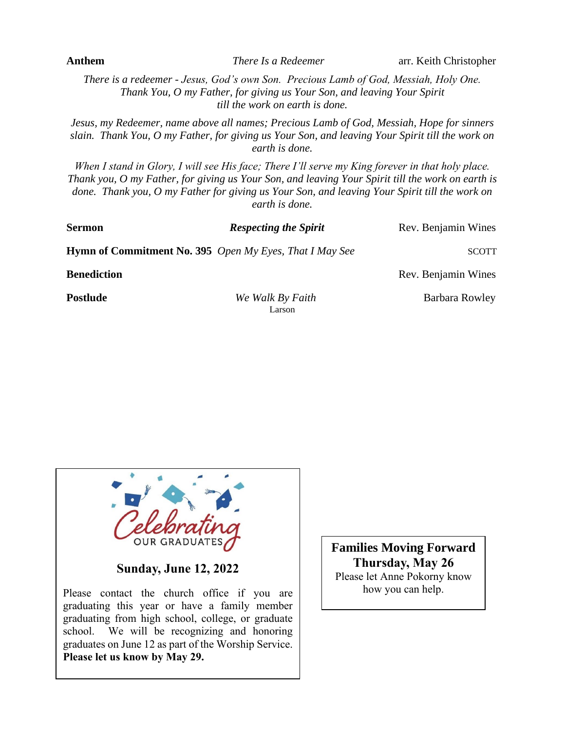*There is a redeemer - Jesus, God's own Son. Precious Lamb of God, Messiah, Holy One. Thank You, O my Father, for giving us Your Son, and leaving Your Spirit till the work on earth is done.* 

*Jesus, my Redeemer, name above all names; Precious Lamb of God, Messiah, Hope for sinners slain. Thank You, O my Father, for giving us Your Son, and leaving Your Spirit till the work on earth is done.*

*When I stand in Glory, I will see His face; There I'll serve my King forever in that holy place. Thank you, O my Father, for giving us Your Son, and leaving Your Spirit till the work on earth is done. Thank you, O my Father for giving us Your Son, and leaving Your Spirit till the work on earth is done.*

| <b>Sermon</b>      | <b>Respecting the Spirit</b>                            | Rev. Benjamin Wines |
|--------------------|---------------------------------------------------------|---------------------|
|                    | Hymn of Commitment No. 395 Open My Eyes, That I May See | <b>SCOTT</b>        |
| <b>Benediction</b> |                                                         | Rev. Benjamin Wines |
| <b>Postlude</b>    | We Walk By Faith<br>Larson                              | Barbara Rowley      |

**Sunday, June 12, 2022**

Please contact the church office if you are graduating this year or have a family member graduating from high school, college, or graduate school. We will be recognizing and honoring graduates on June 12 as part of the Worship Service. **Please let us know by May 29.**

**Families Moving Forward Thursday, May 26** Please let Anne Pokorny know how you can help.

**Anthem** *There Is a Redeemer* arr. Keith Christopher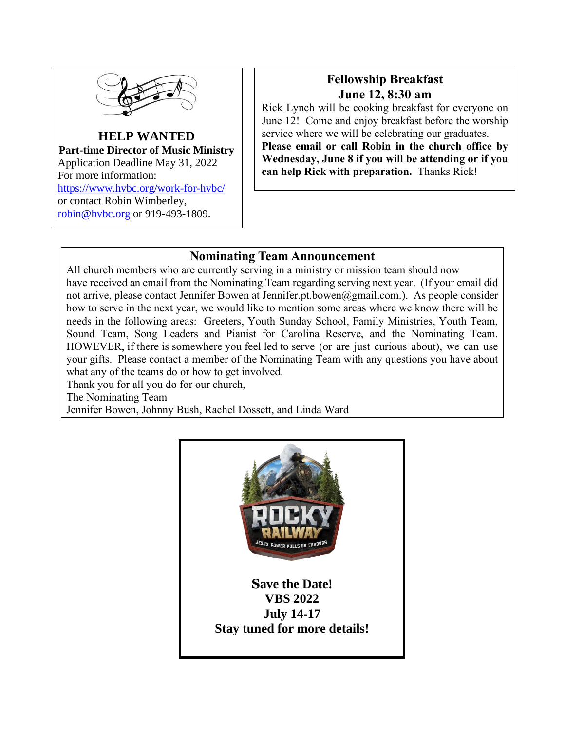

**HELP WANTED Part-time Director of Music Ministry** Application Deadline May 31, 2022 For more information: <https://www.hvbc.org/work-for-hvbc/> or contact Robin Wimberley, [robin@hvbc.org](mailto:robin@hvbc.org) or 919-493-1809.

#### **Fellowship Breakfast June 12, 8:30 am**

Rick Lynch will be cooking breakfast for everyone on June 12! Come and enjoy breakfast before the worship service where we will be celebrating our graduates. **Please email or call Robin in the church office by Wednesday, June 8 if you will be attending or if you can help Rick with preparation.** Thanks Rick!

#### **Nominating Team Announcement**

All church members who are currently serving in a ministry or mission team should now have received an email from the Nominating Team regarding serving next year. (If your email did not arrive, please contact Jennifer Bowen at Jennifer.pt.bowen@gmail.com.). As people consider how to serve in the next year, we would like to mention some areas where we know there will be needs in the following areas: Greeters, Youth Sunday School, Family Ministries, Youth Team, Sound Team, Song Leaders and Pianist for Carolina Reserve, and the Nominating Team. HOWEVER, if there is somewhere you feel led to serve (or are just curious about), we can use your gifts. Please contact a member of the Nominating Team with any questions you have about what any of the teams do or how to get involved.

Thank you for all you do for our church,

The Nominating Team

Jennifer Bowen, Johnny Bush, Rachel Dossett, and Linda Ward